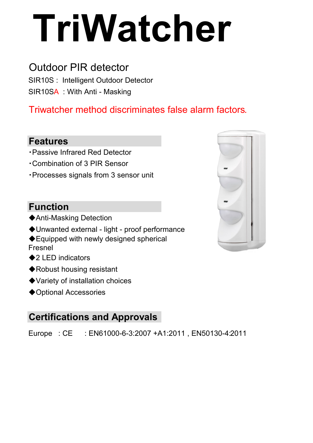# **TriWatcher**

# Outdoor PIR detector

SIR10S : Intelligent Outdoor Detector SIR10SA : With Anti - Masking

## Triwatcher method discriminates false alarm factors.

### **Features**

- ・Passive Infrared Red Detector
- ・Combination of 3 PIR Sensor
- ・Processes signals from 3 sensor unit

## **Function**

- ◆Anti-Masking Detection
- ◆Unwanted external light proof performance
- ◆Equipped with newly designed spherical Fresnel
- ◆2 LED indicators
- ◆Robust housing resistant
- ◆Variety of installation choices
- ◆Optional Accessories

## **Certifications and Approvals**

Europe : CE : EN61000-6-3:2007 +A1:2011 , EN50130-4:2011

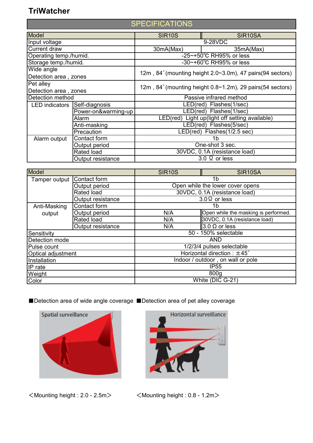#### **TriWatcher**

#### **SPECIFICATIONS**

| Model                  |                     | <b>SIR10S</b>                                              | SIR <sub>10</sub> SA            |
|------------------------|---------------------|------------------------------------------------------------|---------------------------------|
| Input voltage          |                     | 9-28VDC                                                    |                                 |
| <b>Current draw</b>    |                     | 30mA(Max)                                                  | 35mA(Max)                       |
| Operating temp./humid. |                     | -25~+50°C RH95% or less                                    |                                 |
| Storage temp./humid.   |                     | -30~+60°C RH95% or less                                    |                                 |
| Wide angle             |                     | 12m, 84° (mounting height 2.0~3.0m), 47 pairs (94 sectors) |                                 |
| Detection area, zones  |                     |                                                            |                                 |
| Pet alley              |                     | 12m, 84° (mounting height 0.8~1.2m), 29 pairs (54 sectors) |                                 |
| Detection area, zones  |                     |                                                            |                                 |
| Detection method       |                     | Passive infrared method                                    |                                 |
| <b>LED</b> indicators  | Self-diagnosis      | LED(red) Flashes(1/sec)                                    |                                 |
|                        | Power-on&warming-up |                                                            | LED(red) Flashes(1/sec)         |
|                        | Alarm               | LED(red) Light up(light off setting available)             |                                 |
|                        | Anti-masking        | LED(red) Flashes(5/sec)                                    |                                 |
|                        | Precaution          | LED(red) Flashes(1/2.5 sec)                                |                                 |
| Alarm output           | Contact form        | 1b                                                         |                                 |
|                        | Output period       | One-shot 3 sec.                                            |                                 |
|                        | Rated load          | 30VDC, 0.1A (resistance load)                              |                                 |
|                        | Output resistance   |                                                            | $\overline{3.0 \Omega}$ or less |

| <b>Model</b>       |                   | <b>SIR10S</b>                         | SIR <sub>10</sub> SA                 |  |
|--------------------|-------------------|---------------------------------------|--------------------------------------|--|
| Tamper output      | Contact form      | 1b                                    |                                      |  |
|                    | Output period     | Open while the lower cover opens      |                                      |  |
|                    | Rated load        | 30VDC, 0.1A (resistance load)         |                                      |  |
|                    | Output resistance |                                       | $3.0\Omega$ or less                  |  |
| Anti-Masking       | Contact form      | 1b                                    |                                      |  |
| output             | Output period     | N/A                                   | Open while the masking is performed. |  |
|                    | Rated load        | N/A                                   | 30VDC, 0.1A (resistance load)        |  |
|                    | Output resistance | N/A                                   | $3.0 \Omega$ or less                 |  |
| Sensitivity        |                   | 50 - 150% selectable                  |                                      |  |
| Detection mode     |                   | <b>AND</b>                            |                                      |  |
| Pulse count        |                   | 1/2/3/4 pulses selectable             |                                      |  |
| Optical adjustment |                   | Horizontal direction : $\pm 45^\circ$ |                                      |  |
| Installation       |                   | Indoor / outdoor, on wall or pole     |                                      |  |
| IP rate            |                   | <b>IP55</b>                           |                                      |  |
| Weight             |                   | 800 <sub>g</sub>                      |                                      |  |
| Color              |                   | White (DIC G-21)                      |                                      |  |

■Detection area of wide angle coverage ■Detection area of pet alley coverage



<Mounting height : 2.0 - 2.5m> <Mounting height : 0.8 - 1.2m>